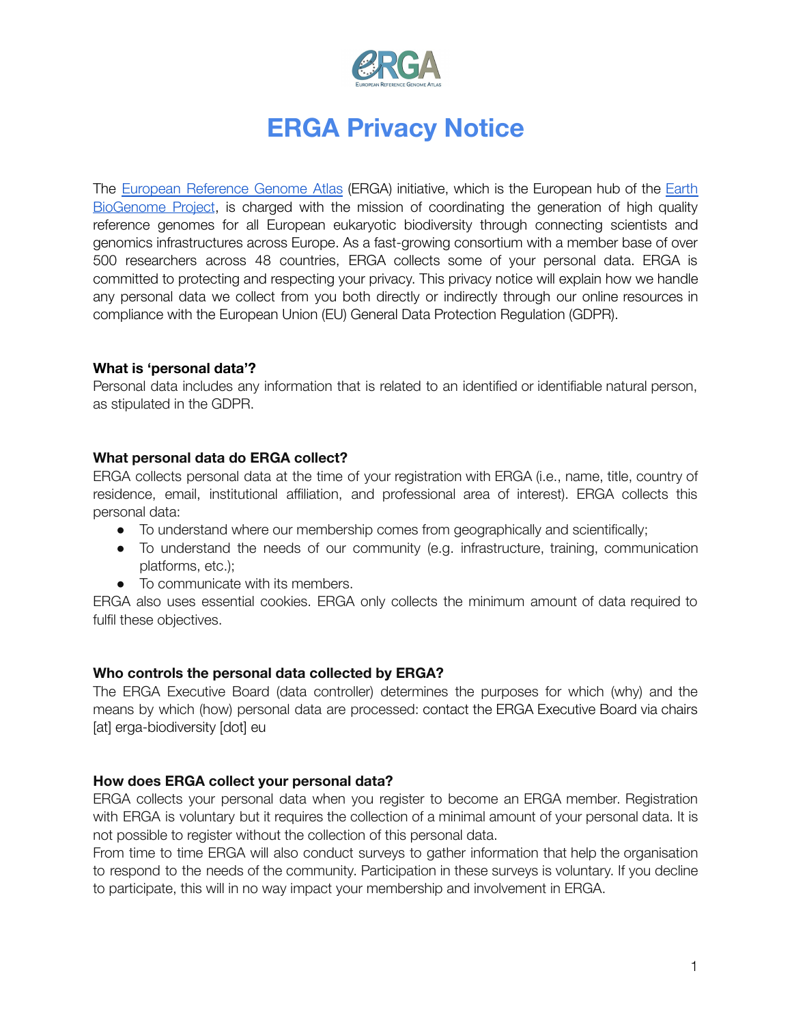

# **ERGA Privacy Notice**

The European [Reference](https://www.erga-biodiversity.eu/) Genome Atlas (ERGA) initiative, which is the European hub of the [Earth](https://earthbiogenome.org/) [BioGenome](https://earthbiogenome.org/) Project, is charged with the mission of coordinating the generation of high quality reference genomes for all European eukaryotic biodiversity through connecting scientists and genomics infrastructures across Europe. As a fast-growing consortium with a member base of over 500 researchers across 48 countries, ERGA collects some of your personal data. ERGA is committed to protecting and respecting your privacy. This privacy notice will explain how we handle any personal data we collect from you both directly or indirectly through our online resources in compliance with the European Union (EU) General Data Protection Regulation (GDPR).

## **What is 'personal data'?**

Personal data includes any information that is related to an identified or identifiable natural person, as stipulated in the GDPR.

## **What personal data do ERGA collect?**

ERGA collects personal data at the time of your registration with ERGA (i.e., name, title, country of residence, email, institutional affiliation, and professional area of interest). ERGA collects this personal data:

- To understand where our membership comes from geographically and scientifically;
- To understand the needs of our community (e.g. infrastructure, training, communication platforms, etc.);
- To communicate with its members.

ERGA also uses essential cookies. ERGA only collects the minimum amount of data required to fulfil these objectives.

## **Who controls the personal data collected by ERGA?**

The ERGA Executive Board (data controller) determines the purposes for which (why) and the means by which (how) personal data are processed: contact the ERGA Executive Board via chairs [at] erga-biodiversity [dot] eu

## **How does ERGA collect your personal data?**

ERGA collects your personal data when you register to become an ERGA member. Registration with ERGA is voluntary but it requires the collection of a minimal amount of your personal data. It is not possible to register without the collection of this personal data.

From time to time ERGA will also conduct surveys to gather information that help the organisation to respond to the needs of the community. Participation in these surveys is voluntary. If you decline to participate, this will in no way impact your membership and involvement in ERGA.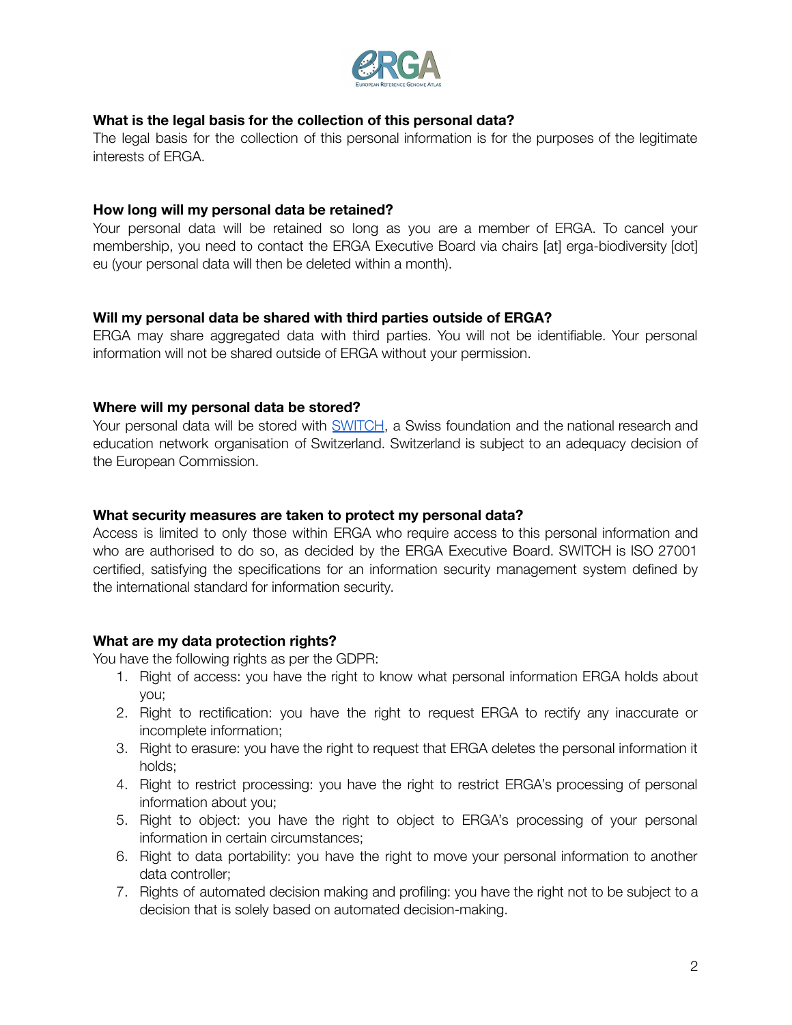

## **What is the legal basis for the collection of this personal data?**

The legal basis for the collection of this personal information is for the purposes of the legitimate interests of ERGA.

#### **How long will my personal data be retained?**

Your personal data will be retained so long as you are a member of ERGA. To cancel your membership, you need to contact the ERGA Executive Board via chairs [at] erga-biodiversity [dot] eu (your personal data will then be deleted within a month).

#### **Will my personal data be shared with third parties outside of ERGA?**

ERGA may share aggregated data with third parties. You will not be identifiable. Your personal information will not be shared outside of ERGA without your permission.

#### **Where will my personal data be stored?**

Your personal data will be stored with [SWITCH](https://www.switch.ch/), a Swiss foundation and the national research and education network organisation of Switzerland. Switzerland is subject to an adequacy decision of the European Commission.

#### **What security measures are taken to protect my personal data?**

Access is limited to only those within ERGA who require access to this personal information and who are authorised to do so, as decided by the ERGA Executive Board. SWITCH is ISO 27001 certified, satisfying the specifications for an information security management system defined by the international standard for information security.

## **What are my data protection rights?**

You have the following rights as per the GDPR:

- 1. Right of access: you have the right to know what personal information ERGA holds about you;
- 2. Right to rectification: you have the right to request ERGA to rectify any inaccurate or incomplete information;
- 3. Right to erasure: you have the right to request that ERGA deletes the personal information it holds;
- 4. Right to restrict processing: you have the right to restrict ERGA's processing of personal information about you;
- 5. Right to object: you have the right to object to ERGA's processing of your personal information in certain circumstances;
- 6. Right to data portability: you have the right to move your personal information to another data controller;
- 7. Rights of automated decision making and profiling: you have the right not to be subject to a decision that is solely based on automated decision-making.